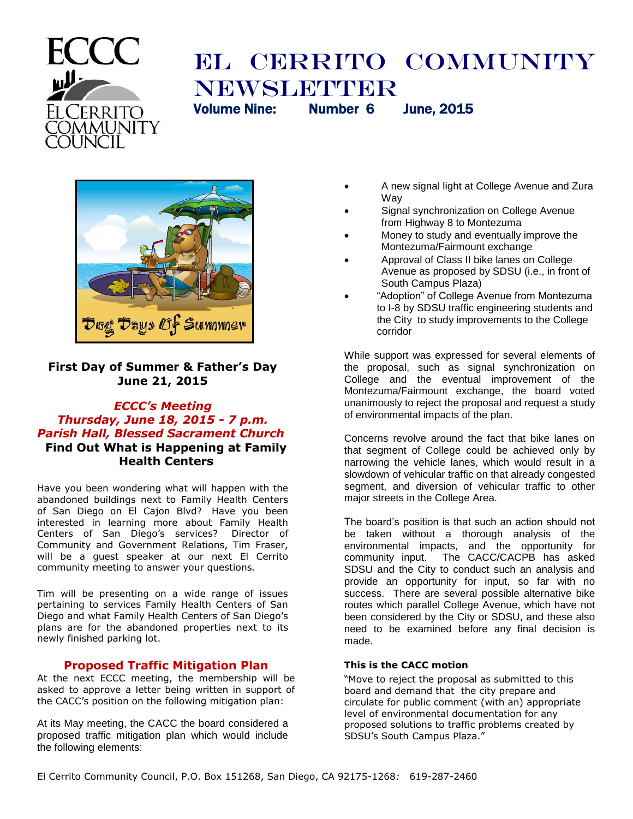

# EL CERRITO COMMUNITY **NEWSLETTER** Volume Nine: Number 6 June, 2015



# **First Day of Summer & Father's Day June 21, 2015**

# *ECCC's Meeting Thursday, June 18, 2015 - 7 p.m. Parish Hall, Blessed Sacrament Church* **Find Out What is Happening at Family Health Centers**

Have you been wondering what will happen with the abandoned buildings next to Family Health Centers of San Diego on El Cajon Blvd? Have you been interested in learning more about Family Health Centers of San Diego's services? Director of Community and Government Relations, Tim Fraser, will be a guest speaker at our next El Cerrito community meeting to answer your questions.

Tim will be presenting on a wide range of issues pertaining to services Family Health Centers of San Diego and what Family Health Centers of San Diego's plans are for the abandoned properties next to its newly finished parking lot.

# **Proposed Traffic Mitigation Plan**

At the next ECCC meeting, the membership will be asked to approve a letter being written in support of the CACC's position on the following mitigation plan:

At its May meeting, the CACC the board considered a proposed traffic mitigation plan which would include the following elements:

- A new signal light at College Avenue and Zura Way
- Signal synchronization on College Avenue from Highway 8 to Montezuma
- Money to study and eventually improve the Montezuma/Fairmount exchange
- Approval of Class II bike lanes on College Avenue as proposed by SDSU (i.e., in front of South Campus Plaza)
- "Adoption" of College Avenue from Montezuma to I-8 by SDSU traffic engineering students and the City to study improvements to the College corridor

While support was expressed for several elements of the proposal, such as signal synchronization on College and the eventual improvement of the Montezuma/Fairmount exchange, the board voted unanimously to reject the proposal and request a study of environmental impacts of the plan.

Concerns revolve around the fact that bike lanes on that segment of College could be achieved only by narrowing the vehicle lanes, which would result in a slowdown of vehicular traffic on that already congested segment, and diversion of vehicular traffic to other major streets in the College Area.

The board's position is that such an action should not be taken without a thorough analysis of the environmental impacts, and the opportunity for community input. The CACC/CACPB has asked SDSU and the City to conduct such an analysis and provide an opportunity for input, so far with no success. There are several possible alternative bike routes which parallel College Avenue, which have not been considered by the City or SDSU, and these also need to be examined before any final decision is made.

## **This is the CACC motion**

"Move to reject the proposal as submitted to this board and demand that the city prepare and circulate for public comment (with an) appropriate level of environmental documentation for any proposed solutions to traffic problems created by SDSU's South Campus Plaza."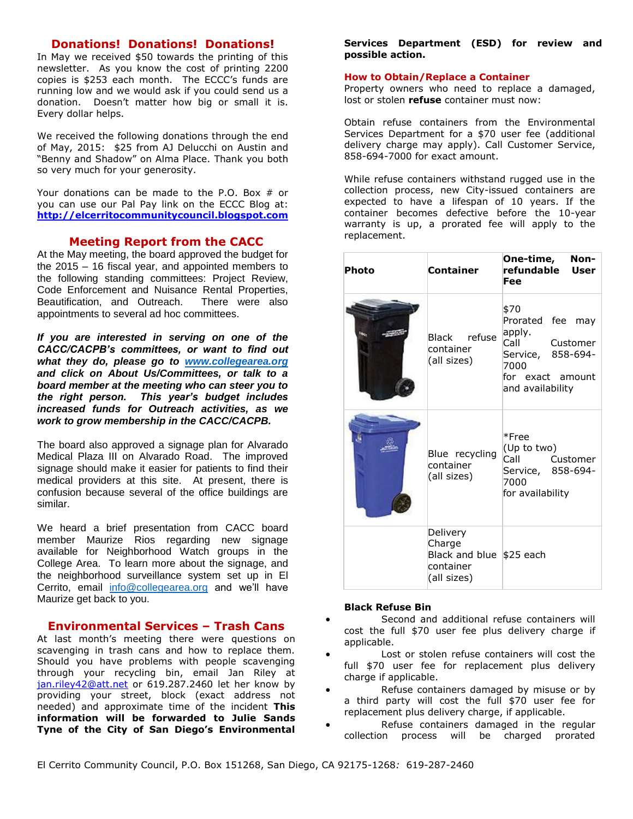# **Donations! Donations! Donations!**

In May we received \$50 towards the printing of this newsletter. As you know the cost of printing 2200 copies is \$253 each month. The ECCC's funds are running low and we would ask if you could send us a donation. Doesn't matter how big or small it is. Every dollar helps.

We received the following donations through the end of May, 2015: \$25 from AJ Delucchi on Austin and "Benny and Shadow" on Alma Place. Thank you both so very much for your generosity.

Your donations can be made to the P.O. Box # or you can use our Pal Pay link on the ECCC Blog at: **[http://elcerritocommunitycouncil.blogspot.com](http://elcerritocommunitycouncil.blogspot.com/)**

## **Meeting Report from the CACC**

At the May meeting, the board approved the budget for the 2015 – 16 fiscal year, and appointed members to the following standing committees: Project Review, Code Enforcement and Nuisance Rental Properties,<br>Beautification, and Outreach. There were also Beautification, and Outreach. appointments to several ad hoc committees.

*If you are interested in serving on one of the CACC/CACPB's committees, or want to find out what they do, please go to [www.collegearea.org](http://www.collegearea.org/) and click on About Us/Committees, or talk to a board member at the meeting who can steer you to the right person. This year's budget includes increased funds for Outreach activities, as we work to grow membership in the CACC/CACPB.*

The board also approved a signage plan for Alvarado Medical Plaza III on Alvarado Road. The improved signage should make it easier for patients to find their medical providers at this site. At present, there is confusion because several of the office buildings are similar.

We heard a brief presentation from CACC board member Maurize Rios regarding new signage available for Neighborhood Watch groups in the College Area. To learn more about the signage, and the neighborhood surveillance system set up in El Cerrito, email [info@collegearea.org](mailto:info@collegearea.org) and we'll have Maurize get back to you.

## **Environmental Services – Trash Cans**

At last month's meeting there were questions on scavenging in trash cans and how to replace them. Should you have problems with people scavenging through your recycling bin, email Jan Riley at [jan.riley42@att.net](mailto:jan.riley42@att.net) or 619.287.2460 let her know by providing your street, block (exact address not needed) and approximate time of the incident **This information will be forwarded to Julie Sands Tyne of the City of San Diego's Environmental**  **Services Department (ESD) for review and possible action.**

#### **How to Obtain/Replace a Container**

Property owners who need to replace a damaged, lost or stolen **refuse** container must now:

Obtain refuse containers from the Environmental Services Department for a \$70 user fee (additional delivery charge may apply). Call Customer Service, 858-694-7000 for exact amount.

While refuse containers withstand rugged use in the collection process, new City-issued containers are expected to have a lifespan of 10 years. If the container becomes defective before the 10-year warranty is up, a prorated fee will apply to the replacement.

| Photo | Container                                                                   | One-time,<br>Non-<br>refundable<br><b>User</b><br>Fee                                                                       |
|-------|-----------------------------------------------------------------------------|-----------------------------------------------------------------------------------------------------------------------------|
|       | Black refuse<br>container<br>(all sizes)                                    | \$70<br>Prorated fee may<br>apply.<br>Call<br>Customer<br>Service, 858-694-<br>7000<br>for exact amount<br>and availability |
| J     | Blue recycling<br>container<br>(all sizes)                                  | *Free<br>(Up to two)<br>Call Call<br>Customer<br>Service, 858-694-<br>7000<br>for availability                              |
|       | Delivery<br>Charge<br>Black and blue $$25$ each<br>container<br>(all sizes) |                                                                                                                             |

#### **Black Refuse Bin**

- Second and additional refuse containers will cost the full \$70 user fee plus delivery charge if applicable.
- Lost or stolen refuse containers will cost the full \$70 user fee for replacement plus delivery charge if applicable.
- Refuse containers damaged by misuse or by a third party will cost the full \$70 user fee for replacement plus delivery charge, if applicable.
- Refuse containers damaged in the regular collection process will be charged prorated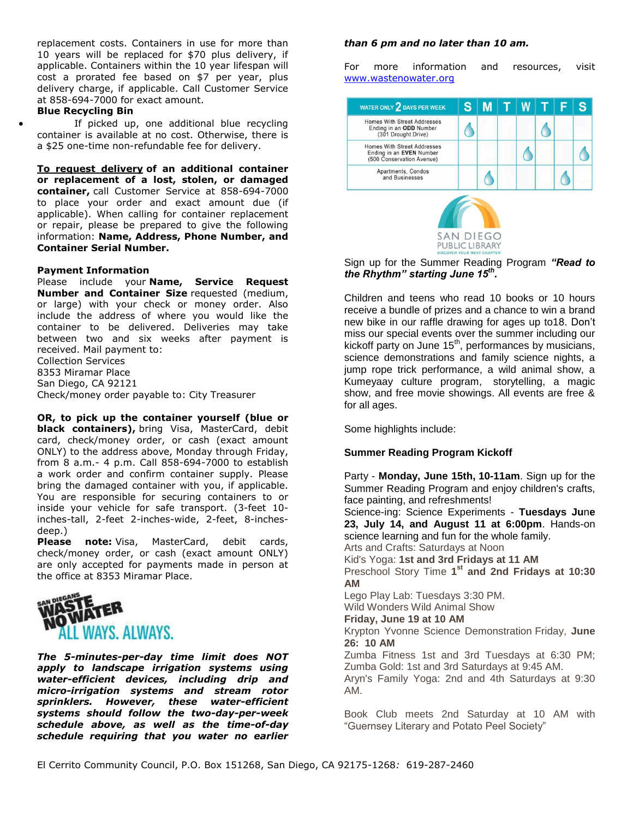replacement costs. Containers in use for more than 10 years will be replaced for \$70 plus delivery, if applicable. Containers within the 10 year lifespan will cost a prorated fee based on \$7 per year, plus delivery charge, if applicable. Call Customer Service at 858-694-7000 for exact amount.

#### **Blue Recycling Bin**

 If picked up, one additional blue recycling container is available at no cost. Otherwise, there is a \$25 one-time non-refundable fee for delivery.

**To request delivery of an additional container or replacement of a lost, stolen, or damaged container,** call Customer Service at 858-694-7000 to place your order and exact amount due (if applicable). When calling for container replacement or repair, please be prepared to give the following information: **Name, Address, Phone Number, and Container Serial Number.**

#### **Payment Information**

Please include your **Name, Service Request Number and Container Size** requested (medium, or large) with your check or money order. Also include the address of where you would like the container to be delivered. Deliveries may take between two and six weeks after payment is received. Mail payment to: Collection Services 8353 Miramar Place San Diego, CA 92121

Check/money order payable to: City Treasurer

**OR, to pick up the container yourself (blue or black containers),** bring Visa, MasterCard, debit card, check/money order, or cash (exact amount ONLY) to the address above, Monday through Friday, from 8 a.m.- 4 p.m. Call 858-694-7000 to establish a work order and confirm container supply. Please bring the damaged container with you, if applicable. You are responsible for securing containers to or inside your vehicle for safe transport. (3-feet 10 inches-tall, 2-feet 2-inches-wide, 2-feet, 8-inchesdeep.)

**Please note:** Visa, MasterCard, debit cards, check/money order, or cash (exact amount ONLY) are only accepted for payments made in person at the office at 8353 Miramar Place.



*The 5-minutes-per-day time limit does NOT apply to landscape irrigation systems using water-efficient devices, including drip and micro-irrigation systems and stream rotor sprinklers. However, these water-efficient systems should follow the two-day-per-week schedule above, as well as the time-of-day schedule requiring that you water no earlier* 

#### *than 6 pm and no later than 10 am.*

For more information and resources, visit [www.wastenowater.org](http://r20.rs6.net/tn.jsp?f=001P9xnrcGVGALErIpVZiJ69GkYU39rYlgDPl5J2CHdiSHk-IRBxpyivzL9qUQ24GsaKqVJYpzNkCjNSdHDswEYJwmSIKqWrbdnLaA44XufptrDSt7njoDznjY-ITQHCwunA6e91SCt2o782wp9voys-cMTpDS0WYIyRCpOLM8Wi7o=&c=X17l04gKQq9ZwKLKVq_sA05r9Xx7KiDc9t3WqUS7xTvv0KWQLe1SsA==&ch=-2dhXJlUC23TonaGXr4OvDyL3_osv80ibFuMl73z8wYRVNv2sb0zzQ==)



Sign up for the Summer Reading Program *"Read to the Rhythm" starting June 15th .* 

Children and teens who read 10 books or 10 hours receive a bundle of prizes and a chance to win a brand new bike in our raffle drawing for ages up to18. Don't miss our special events over the summer including our kickoff party on June  $15<sup>th</sup>$ , performances by musicians, science demonstrations and family science nights, a jump rope trick performance, a wild animal show, a Kumeyaay culture program, storytelling, a magic show, and free movie showings. All events are free & for all ages.

Some highlights include:

#### **Summer Reading Program Kickoff**

Party - **Monday, June 15th, 10-11am**. Sign up for the Summer Reading Program and enjoy children's crafts, face painting, and refreshments!

Science-ing: Science Experiments - **Tuesdays Ju**n**e 23, July 14, and August 11 at 6:00pm**. Hands-on science learning and fun for the whole family.

Arts and Crafts: Saturdays at Noon

Kid's Yoga: **1st and 3rd Fridays at 11 AM**

Preschool Story Time **1 st and 2nd Fridays at 10:30 AM**

Lego Play Lab: Tuesdays 3:30 PM. Wild Wonders Wild Animal Show

**Friday, June 19 at 10 AM**

Krypton Yvonne Science Demonstration Friday, **June 26: 10 AM**

Zumba Fitness 1st and 3rd Tuesdays at 6:30 PM; Zumba Gold: 1st and 3rd Saturdays at 9:45 AM.

Aryn's Family Yoga: 2nd and 4th Saturdays at 9:30 AM.

Book Club meets 2nd Saturday at 10 AM with "Guernsey Literary and Potato Peel Society"